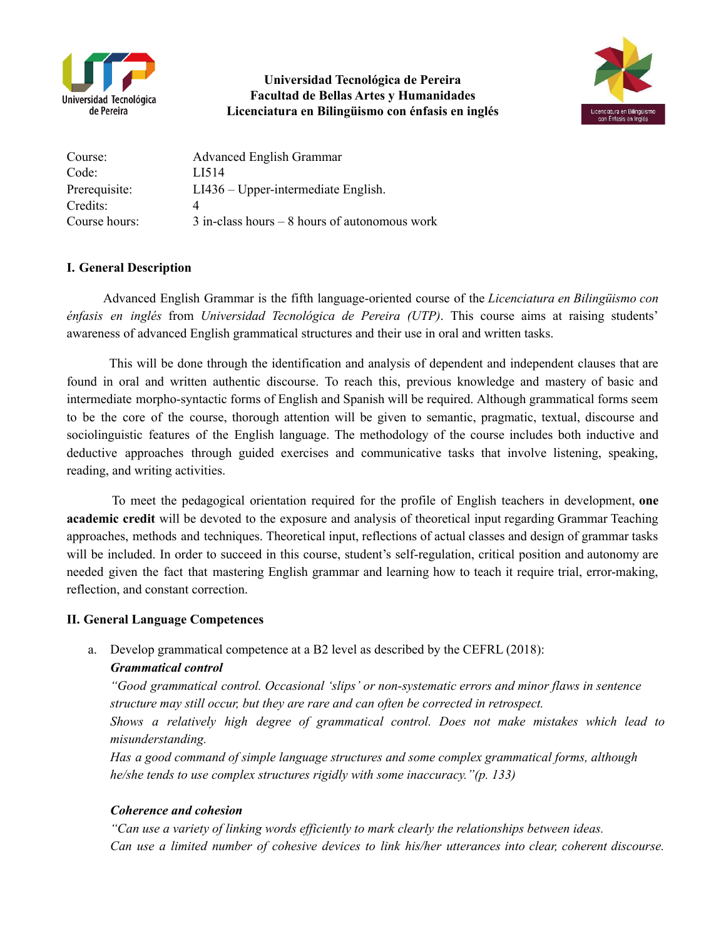

**Universidad Tecnológica de Pereira Facultad de Bellas Artes y Humanidades Licenciatura en Bilingüismo con énfasis en inglés**



| Course:       | <b>Advanced English Grammar</b>                  |
|---------------|--------------------------------------------------|
| Code:         | LI514                                            |
| Prerequisite: | $LI436 – Upper-intermediate English.$            |
| Credits:      |                                                  |
| Course hours: | $3$ in-class hours $-8$ hours of autonomous work |

## **I. General Description**

Advanced English Grammar is the fifth language-oriented course of the *Licenciatura en Bilingüismo con énfasis en inglés* from *Universidad Tecnológica de Pereira (UTP)*. This course aims at raising students' awareness of advanced English grammatical structures and their use in oral and written tasks.

This will be done through the identification and analysis of dependent and independent clauses that are found in oral and written authentic discourse. To reach this, previous knowledge and mastery of basic and intermediate morpho-syntactic forms of English and Spanish will be required. Although grammatical forms seem to be the core of the course, thorough attention will be given to semantic, pragmatic, textual, discourse and sociolinguistic features of the English language. The methodology of the course includes both inductive and deductive approaches through guided exercises and communicative tasks that involve listening, speaking, reading, and writing activities.

To meet the pedagogical orientation required for the profile of English teachers in development, **one academic credit** will be devoted to the exposure and analysis of theoretical input regarding Grammar Teaching approaches, methods and techniques. Theoretical input, reflections of actual classes and design of grammar tasks will be included. In order to succeed in this course, student's self-regulation, critical position and autonomy are needed given the fact that mastering English grammar and learning how to teach it require trial, error-making, reflection, and constant correction.

### **II. General Language Competences**

a. Develop grammatical competence at a B2 level as described by the CEFRL (2018):

### *Grammatical control*

*"Good grammatical control. Occasional 'slips' or non-systematic errors and minor flaws in sentence structure may still occur, but they are rare and can often be corrected in retrospect.*

*Shows a relatively high degree of grammatical control. Does not make mistakes which lead to misunderstanding.*

*Has a good command of simple language structures and some complex grammatical forms, although he/she tends to use complex structures rigidly with some inaccuracy."(p. 133)*

### *Coherence and cohesion*

*"Can use a variety of linking words ef iciently to mark clearly the relationships between ideas. Can use a limited number of cohesive devices to link his/her utterances into clear, coherent discourse.*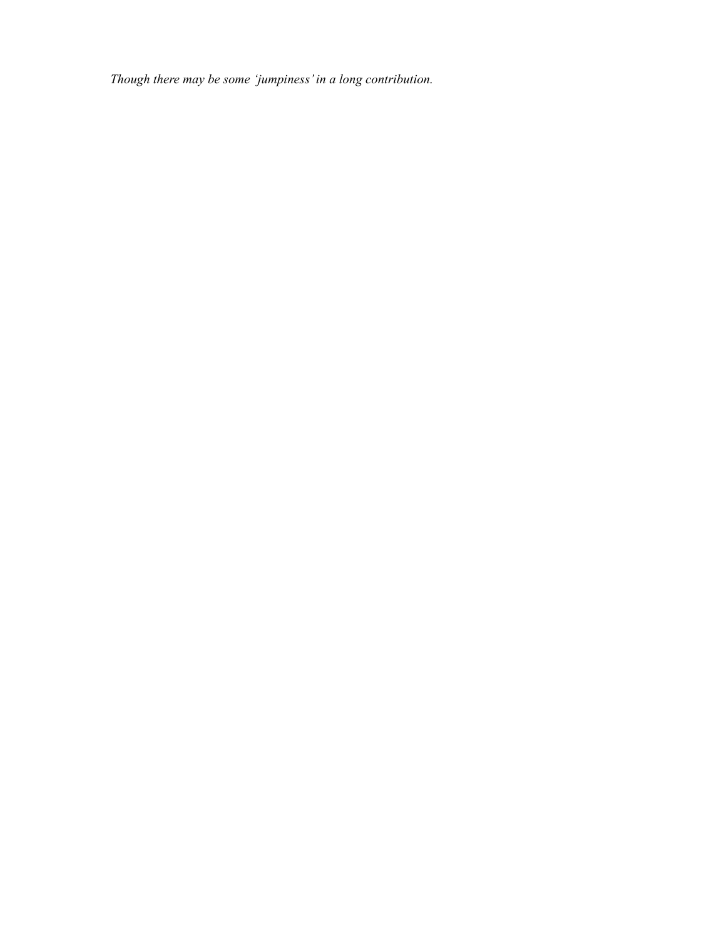*Though there may be some 'jumpiness'in a long contribution.*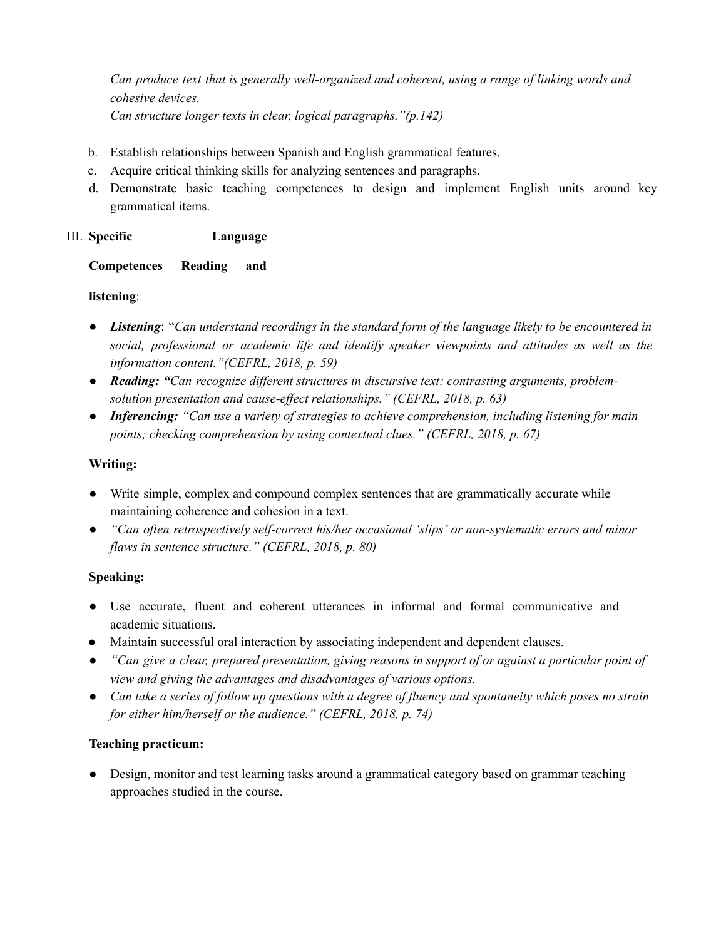*Can produce text that is generally well-organized and coherent, using a range of linking words and cohesive devices. Can structure longer texts in clear, logical paragraphs."(p.142)*

- b. Establish relationships between Spanish and English grammatical features.
- c. Acquire critical thinking skills for analyzing sentences and paragraphs.
- d. Demonstrate basic teaching competences to design and implement English units around key grammatical items.

## III. **Specific Language**

## **Competences Reading and**

## **listening**:

- *● Listening*: "*Can understand recordings in the standard form of the language likely to be encountered in social, professional or academic life and identify speaker viewpoints and attitudes as well as the information content."(CEFRL, 2018, p. 59)*
- *● Reading: "Can recognize dif erent structures in discursive text: contrasting arguments, problemsolution presentation and cause-ef ect relationships." (CEFRL, 2018, p. 63)*
- *● Inferencing: "Can use a variety of strategies to achieve comprehension, including listening for main points; checking comprehension by using contextual clues." (CEFRL, 2018, p. 67)*

## **Writing:**

- Write simple, complex and compound complex sentences that are grammatically accurate while maintaining coherence and cohesion in a text.
- *● "Can often retrospectively self-correct his/her occasional 'slips' or non-systematic errors and minor flaws in sentence structure." (CEFRL, 2018, p. 80)*

# **Speaking:**

- Use accurate, fluent and coherent utterances in informal and formal communicative and academic situations.
- Maintain successful oral interaction by associating independent and dependent clauses.
- $\bullet$  "Can give a clear, prepared presentation, giving reasons in support of or against a particular point of *view and giving the advantages and disadvantages of various options.*
- Can take a series of follow up questions with a degree of fluency and spontaneity which poses no strain *for either him/herself or the audience." (CEFRL, 2018, p. 74)*

# **Teaching practicum:**

• Design, monitor and test learning tasks around a grammatical category based on grammar teaching approaches studied in the course.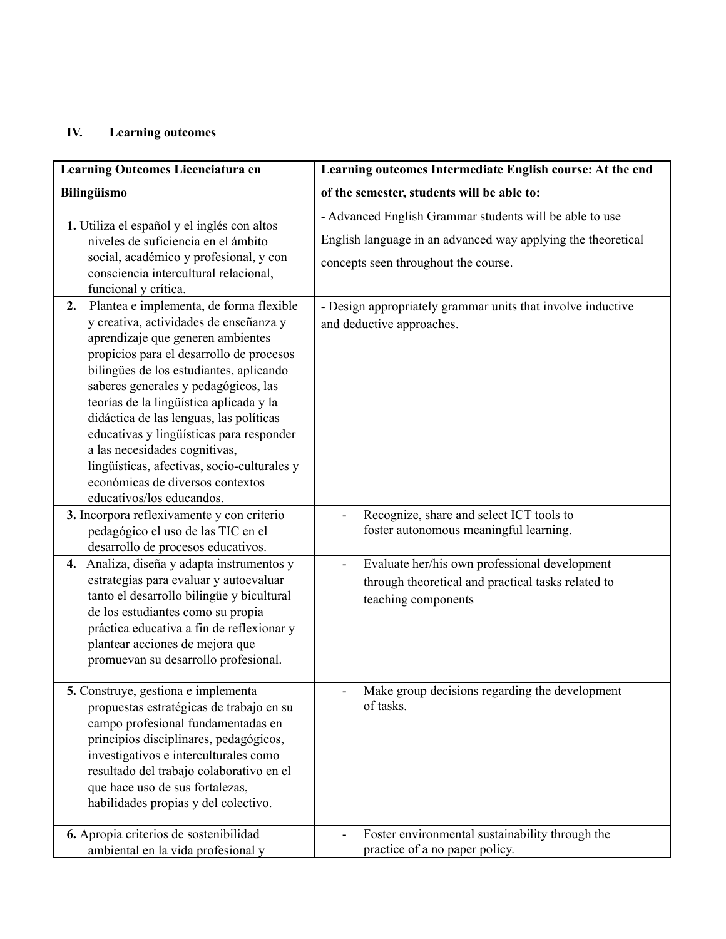# **IV. Learning outcomes**

| Learning Outcomes Licenciatura en                                                                                                                                                                                                                                                                                                                                                                                                                                                                                                              | Learning outcomes Intermediate English course: At the end                                                                                                       |  |  |  |
|------------------------------------------------------------------------------------------------------------------------------------------------------------------------------------------------------------------------------------------------------------------------------------------------------------------------------------------------------------------------------------------------------------------------------------------------------------------------------------------------------------------------------------------------|-----------------------------------------------------------------------------------------------------------------------------------------------------------------|--|--|--|
| <b>Bilingüismo</b>                                                                                                                                                                                                                                                                                                                                                                                                                                                                                                                             | of the semester, students will be able to:                                                                                                                      |  |  |  |
| 1. Utiliza el español y el inglés con altos<br>niveles de suficiencia en el ámbito<br>social, académico y profesional, y con<br>consciencia intercultural relacional,<br>funcional y crítica.                                                                                                                                                                                                                                                                                                                                                  | - Advanced English Grammar students will be able to use<br>English language in an advanced way applying the theoretical<br>concepts seen throughout the course. |  |  |  |
| Plantea e implementa, de forma flexible<br>2.<br>y creativa, actividades de enseñanza y<br>aprendizaje que generen ambientes<br>propicios para el desarrollo de procesos<br>bilingües de los estudiantes, aplicando<br>saberes generales y pedagógicos, las<br>teorías de la lingüística aplicada y la<br>didáctica de las lenguas, las políticas<br>educativas y lingüísticas para responder<br>a las necesidades cognitivas,<br>lingüísticas, afectivas, socio-culturales y<br>económicas de diversos contextos<br>educativos/los educandos. | - Design appropriately grammar units that involve inductive<br>and deductive approaches.                                                                        |  |  |  |
| 3. Incorpora reflexivamente y con criterio<br>pedagógico el uso de las TIC en el<br>desarrollo de procesos educativos.                                                                                                                                                                                                                                                                                                                                                                                                                         | Recognize, share and select ICT tools to<br>foster autonomous meaningful learning.                                                                              |  |  |  |
| Analiza, diseña y adapta instrumentos y<br>4.<br>estrategias para evaluar y autoevaluar<br>tanto el desarrollo bilingüe y bicultural<br>de los estudiantes como su propia<br>práctica educativa a fin de reflexionar y<br>plantear acciones de mejora que<br>promuevan su desarrollo profesional.                                                                                                                                                                                                                                              | Evaluate her/his own professional development<br>through theoretical and practical tasks related to<br>teaching components                                      |  |  |  |
| 5. Construye, gestiona e implementa<br>propuestas estratégicas de trabajo en su<br>campo profesional fundamentadas en<br>principios disciplinares, pedagógicos,<br>investigativos e interculturales como<br>resultado del trabajo colaborativo en el<br>que hace uso de sus fortalezas,<br>habilidades propias y del colectivo.                                                                                                                                                                                                                | Make group decisions regarding the development<br>of tasks.                                                                                                     |  |  |  |
| 6. Apropia criterios de sostenibilidad<br>ambiental en la vida profesional y                                                                                                                                                                                                                                                                                                                                                                                                                                                                   | Foster environmental sustainability through the<br>-<br>practice of a no paper policy.                                                                          |  |  |  |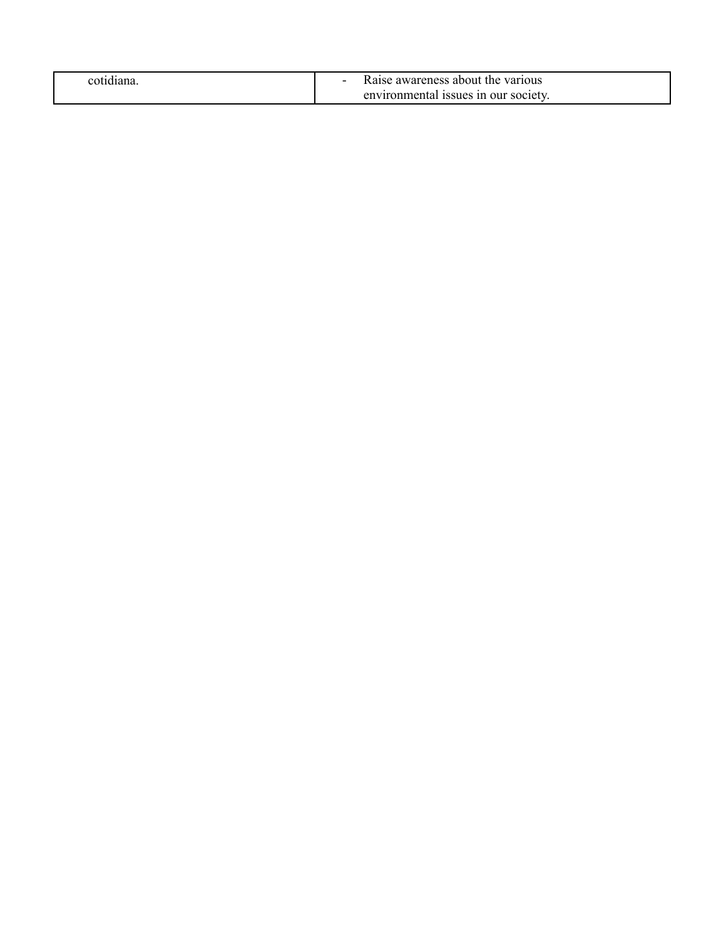| cotidiana | Raise awareness about the various    |
|-----------|--------------------------------------|
|           | environmental issues in our society. |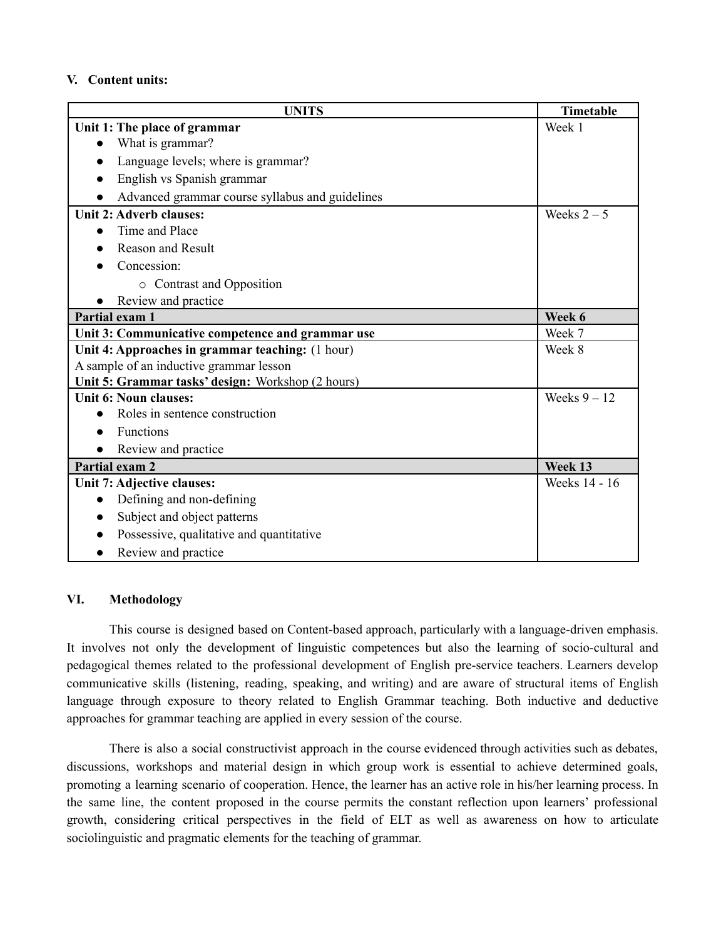## **V. Content units:**

| <b>UNITS</b>                                      | Timetable      |
|---------------------------------------------------|----------------|
| Unit 1: The place of grammar                      | Week 1         |
| What is grammar?                                  |                |
| Language levels; where is grammar?                |                |
| English vs Spanish grammar                        |                |
| Advanced grammar course syllabus and guidelines   |                |
| Unit 2: Adverb clauses:                           | Weeks $2-5$    |
| Time and Place<br>$\bullet$                       |                |
| <b>Reason and Result</b>                          |                |
| Concession:                                       |                |
| • Contrast and Opposition                         |                |
| Review and practice                               |                |
| Partial exam 1                                    | Week 6         |
| Unit 3: Communicative competence and grammar use  | Week 7         |
| Unit 4: Approaches in grammar teaching: (1 hour)  | Week 8         |
| A sample of an inductive grammar lesson           |                |
| Unit 5: Grammar tasks' design: Workshop (2 hours) |                |
| Unit 6: Noun clauses:                             | Weeks $9 - 12$ |
| Roles in sentence construction                    |                |
| Functions                                         |                |
| Review and practice                               |                |
| Partial exam 2                                    | Week 13        |
| Unit 7: Adjective clauses:                        | Weeks 14 - 16  |
| Defining and non-defining<br>$\bullet$            |                |
| Subject and object patterns                       |                |
| Possessive, qualitative and quantitative          |                |
| Review and practice                               |                |

# **VI. Methodology**

This course is designed based on Content-based approach, particularly with a language-driven emphasis. It involves not only the development of linguistic competences but also the learning of socio-cultural and pedagogical themes related to the professional development of English pre-service teachers. Learners develop communicative skills (listening, reading, speaking, and writing) and are aware of structural items of English language through exposure to theory related to English Grammar teaching. Both inductive and deductive approaches for grammar teaching are applied in every session of the course.

There is also a social constructivist approach in the course evidenced through activities such as debates, discussions, workshops and material design in which group work is essential to achieve determined goals, promoting a learning scenario of cooperation. Hence, the learner has an active role in his/her learning process. In the same line, the content proposed in the course permits the constant reflection upon learners' professional growth, considering critical perspectives in the field of ELT as well as awareness on how to articulate sociolinguistic and pragmatic elements for the teaching of grammar.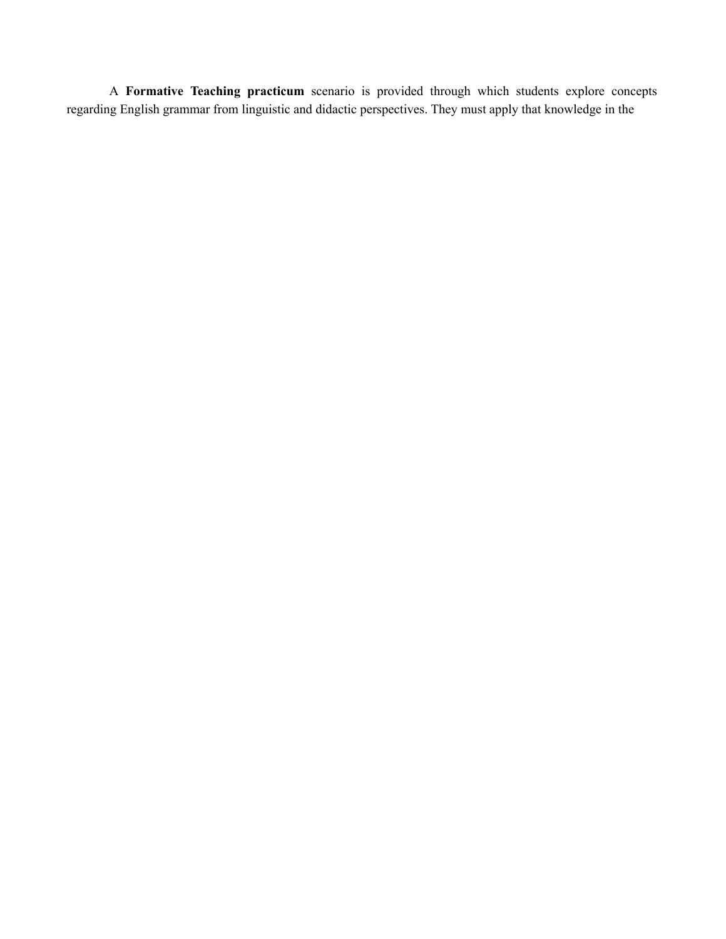A **Formative Teaching practicum** scenario is provided through which students explore concepts regarding English grammar from linguistic and didactic perspectives. They must apply that knowledge in the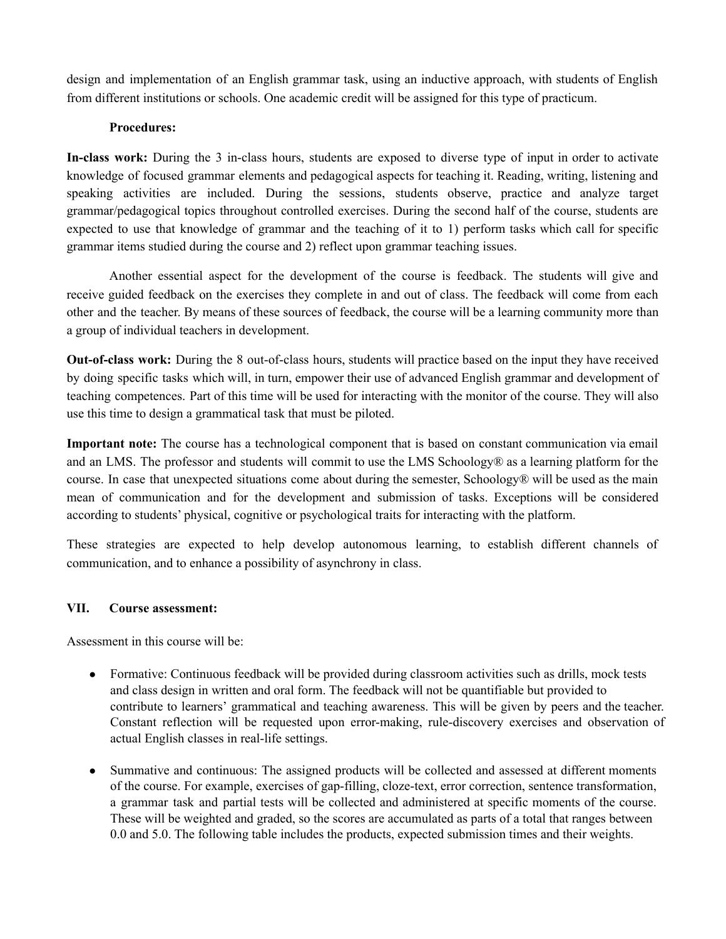design and implementation of an English grammar task, using an inductive approach, with students of English from different institutions or schools. One academic credit will be assigned for this type of practicum.

## **Procedures:**

**In-class work:** During the 3 in-class hours, students are exposed to diverse type of input in order to activate knowledge of focused grammar elements and pedagogical aspects for teaching it. Reading, writing, listening and speaking activities are included. During the sessions, students observe, practice and analyze target grammar/pedagogical topics throughout controlled exercises. During the second half of the course, students are expected to use that knowledge of grammar and the teaching of it to 1) perform tasks which call for specific grammar items studied during the course and 2) reflect upon grammar teaching issues.

Another essential aspect for the development of the course is feedback. The students will give and receive guided feedback on the exercises they complete in and out of class. The feedback will come from each other and the teacher. By means of these sources of feedback, the course will be a learning community more than a group of individual teachers in development.

**Out-of-class work:** During the 8 out-of-class hours, students will practice based on the input they have received by doing specific tasks which will, in turn, empower their use of advanced English grammar and development of teaching competences. Part of this time will be used for interacting with the monitor of the course. They will also use this time to design a grammatical task that must be piloted.

**Important note:** The course has a technological component that is based on constant communication via email and an LMS. The professor and students will commit to use the LMS Schoology® as a learning platform for the course. In case that unexpected situations come about during the semester, Schoology® will be used as the main mean of communication and for the development and submission of tasks. Exceptions will be considered according to students' physical, cognitive or psychological traits for interacting with the platform.

These strategies are expected to help develop autonomous learning, to establish different channels of communication, and to enhance a possibility of asynchrony in class.

### **VII. Course assessment:**

Assessment in this course will be:

- Formative: Continuous feedback will be provided during classroom activities such as drills, mock tests and class design in written and oral form. The feedback will not be quantifiable but provided to contribute to learners' grammatical and teaching awareness. This will be given by peers and the teacher. Constant reflection will be requested upon error-making, rule-discovery exercises and observation of actual English classes in real-life settings.
- Summative and continuous: The assigned products will be collected and assessed at different moments of the course. For example, exercises of gap-filling, cloze-text, error correction, sentence transformation, a grammar task and partial tests will be collected and administered at specific moments of the course. These will be weighted and graded, so the scores are accumulated as parts of a total that ranges between 0.0 and 5.0. The following table includes the products, expected submission times and their weights.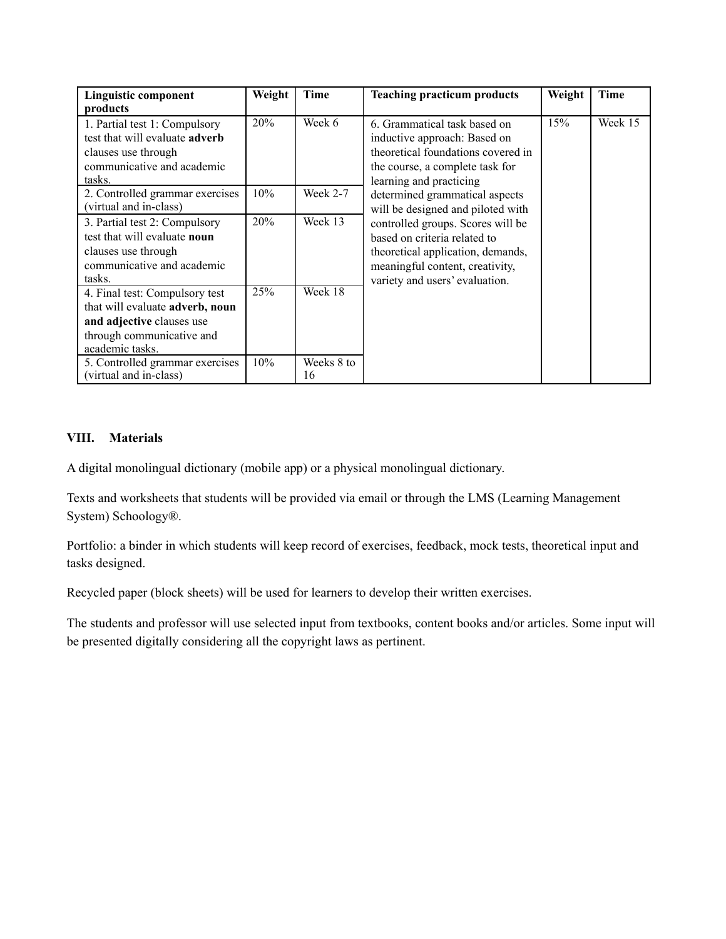| <b>Linguistic component</b><br>products                                                                                                        | Weight | Time             | <b>Teaching practicum products</b>                                                                                                                                          | Weight | <b>Time</b> |
|------------------------------------------------------------------------------------------------------------------------------------------------|--------|------------------|-----------------------------------------------------------------------------------------------------------------------------------------------------------------------------|--------|-------------|
| 1. Partial test 1: Compulsory<br>test that will evaluate <b>adverb</b><br>clauses use through<br>communicative and academic<br>tasks.          | 20%    | Week 6           | 6. Grammatical task based on<br>inductive approach: Based on<br>theoretical foundations covered in<br>the course, a complete task for<br>learning and practicing            | 15%    | Week 15     |
| 2. Controlled grammar exercises<br>(virtual and in-class)                                                                                      | 10%    | Week $2-7$       | determined grammatical aspects<br>will be designed and piloted with                                                                                                         |        |             |
| 3. Partial test 2: Compulsory<br>test that will evaluate noun<br>clauses use through<br>communicative and academic<br>tasks.                   | 20%    | Week 13          | controlled groups. Scores will be<br>based on criteria related to<br>theoretical application, demands,<br>meaningful content, creativity,<br>variety and users' evaluation. |        |             |
| 4. Final test: Compulsory test<br>that will evaluate adverb, noun<br>and adjective clauses use<br>through communicative and<br>academic tasks. | 25%    | Week 18          |                                                                                                                                                                             |        |             |
| 5. Controlled grammar exercises<br>(virtual and in-class)                                                                                      | 10%    | Weeks 8 to<br>16 |                                                                                                                                                                             |        |             |

# **VIII. Materials**

A digital monolingual dictionary (mobile app) or a physical monolingual dictionary.

Texts and worksheets that students will be provided via email or through the LMS (Learning Management System) Schoology®.

Portfolio: a binder in which students will keep record of exercises, feedback, mock tests, theoretical input and tasks designed.

Recycled paper (block sheets) will be used for learners to develop their written exercises.

The students and professor will use selected input from textbooks, content books and/or articles. Some input will be presented digitally considering all the copyright laws as pertinent.